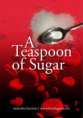# A Teaspoon of Sugar

malcolm burnett | www.foodisgood.net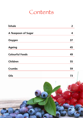### **Contents**

| <b>Inhale</b>          | 2  |
|------------------------|----|
| A Teaspoon of Sugar    | 4  |
| Oxygen                 | 37 |
| <b>Ageing</b>          | 45 |
| <b>Colourful Foods</b> | 49 |
| Children               | 55 |
| <b>Crumbs</b>          | 59 |
| Oils                   | 73 |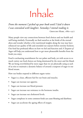## Inhale

*From the moment I picked up your book until I laid it down I was convulsed with laughter. Someday I intend reading it.* Groucho Marx, 1880–1977

Many people view any connections between food choices and our health and well being similarly. Eventually we find ourselves at the brink of the eternal abyss and wonder whether a few nutritional insights along the way may have enhanced our quality of life and extended our sojourn before eternity beckons. Our food has profound effects on how we feel and function and *A Teaspoon of Sugar* will help you understand how to get more pleasurable benefits from the foods you enjoy.

Food is enchanting nourishment for our palate and body, yet with access to so much variety our food choices are being dominated by the sweet and the bland. We are being overwhelmed by more sugar than we are physically using as each of us tries to maintain a dynamic balance of around a teaspoon of sugar in our blood stream.

How our bodies respond to different sugars varies:

- Sugar is a clean, efficient fuel for our brain and muscles.
- Sugar can increase our appetite.
- Sugar can increase our blood pressure.
- Sugar can increase our resistance to the hormone insulin.
- Sugar can increase our cholesterol levels.
- Sugar complexes in some common foods can cause bloating and diarrhoea
- • Sugar can accelerate the ageing effects of oxygen.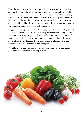From the moment we inflate our lungs with their first sample of air we have an insatiable need to breathe. Our mother no longer breathes for us and life forever becomes as tenuous as our next breath. Food provides the raw energy for us to burn the oxygen we inhale as it permeates our body with each breath. When we breathe out, the tide of air carries some of the carbon remnants of our digested food, like ash from a fire. Instead of ash the carbon is returned to the air around us in our breath as carbon dioxide.

Oxygen provides up to two thirds of our body weight $^1$  and the vitality it floods our being with comes at a price. It eventually overwhelms us and by the time we are 80 years of age oxygen will have modified 80% of our body proteins $^{\rm l}$ . Many of these effects come from the actions of oxygen and excessive sugar in our blood stream. Fortunately the world of colourful foods offers many pathways that help to slow the ravages of oxygen.

We all have a lifelong relationship with food and whatever our preferences, good food is one of life's sustaining pleasures.

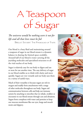## A Teaspoon of Sugar

*The universe would be nothing were it not for life and all that lives must be fed*

Brillat Savarin: The Physiology of Taste

Our blood is a busy fluid and maintaining around a teaspoon of sugar in our blood stream is a dynamic balance in sharing the limited space available. Around half of our blood is water carrying all the joyriding molecules and specialized structures to all the vital reaches of our body.

Sugar is relatively easy for our body to digest and use or store for use another time. The easy delivery of sugar in our blood enables us to think with clarity and move quickly. Sugars are very versatile and our body uses them in a variety of useful ways.

Much of their versatility is because sugars are rich in oxygen and readily form attachments with a range of other molecules throughout our body. Sugars aid communication between cells and help our immune system by attaching to microbes that we inhale, swallow or encounter in our blood stream through cuts and abrasions. Sugars form complexes with water and proteins to keep our mucous membranes like our eyes, lungs and mouth moist and slippery.





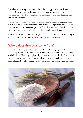It is when we view sugar as a source of fuel for the oxygen we inhale that our predilections for this versatile molecule can become unbalanced. It is the disparities between what we need and the quantities we consume that affect our internal environment.

The amount of sugar in our blood stream may drop to around three grams when we are hungry and increase to around eight grams while digesting a meal. That total variation is only a teaspoon of sugar in itself, which is phenomenally efficient when we consider the demands of providing fuel for our physical activities.

Our blood stream does not store sugar and there are limits to how much sugar our brain and muscles can use before we store any excess as fat.

#### **Where does the sugar come from?**

A small variety of grasses that feed most of the 7 billion people on Earth store the energy of sunlight in their grains as tightly packed strings of sugars called **carbohydrate**. These sugars physically occupy around two thirds of each grain which is similar to the level of sugar in jam. Having so much energy in the form of sugar bound up in such small packages is what makes grains so useful.

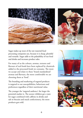



Sugar makes up most of the raw material food processing companies use, because it is cheap, plentiful and versatile. Sugar adds to the palatability of our food and drinks and increases product sales.

For many of us the colours, aromas, textures and flavours of real foods have been replaced by chemicals added to the processed foods we consume. The more we accept and relate to these 'brand standardized' aromas and flavours, the more comfortable we are choosing them as 'food'.

The branding and marketing of sugared products is targeted to our susceptibilities, behaviours and preferences regardless of their nutritional value.

The younger the 'targeted audience' the larger the potential market is. The sooner children get a taste for sugar combined with caffeine in drinks and salt in biscuits and snack confectionery, the more products gets sold.



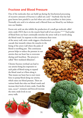#### **Fructose and Blood Pressure**

One of the molecules that can build up during the biochemical processing of excessive amounts of fructose is called uric acid.14 Anybody that has had gout knows how painful it can feel when uric acid crystallizes in their joints. Normally uric acid is in solution and is filtered from our blood by our kidneys into our bladder.

Excess uric acid can also inhibit the production of a small gas molecule called nitric oxide (NO) that is in the muscle lined wall of our arteries.8,9,14,15 Each pulse of blood from our heart continually stretches the artery wall as it travels along the blood vessel. In response to this continuous shear stress of the artery wall, nitric oxide triggers a biochemical cascade that instantly relaxes the muscles in the lining of the artery wall where the pulse of blood is travelling past. This continuous process helps to reduce the pressure in our arteries that our heart has to overcome during each heartbeat. The process is called "flow mediated dilatation".

Chronic fructose overload can lead to our arteries being less responsive to each pulse of blood trying to expand the blood vessel as it flows along it. That means our heart has to exert more force to pump blood along our arteries, which raises our blood pressure. There are various foods that relax our blood vessels and increase their levels of nitric oxide. Foods like nuts, cocoa16, tomatoes and broccoli increase the nitric oxide levels in our artery walls.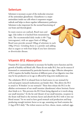#### **Selenium**

Selenium is necessary as part of the molecular structure of the antioxidant glutathione. Glutathione is a major antioxidant inside our cells where it sequesters oxygen radicals and helps to down regulate inflammatory pathways. Selenium is also important for the normal functioning of our brain and thyroid gland.

Its main sources are seafood, Brazil nuts and eggs. Like iodine it is leached from mountainous soils. The recommended daily intake is 60–75μg (micrograms), with an upper limit of  $400 \mu$ g.<sup>7</sup> Brazil nuts provide around 100μg of selenium in each 100g (3½oz). Grinding them to a powder and adding that to yogurt or with fruit helps if you have dentures or diverticular disease.

#### **Vitamin B12 Absorption**

Vitamin B12 (cyanocobalamin) is necessary for healthy nerve function and the growth of healthy red blood cells. Plants do not make B12, but can be sources if fermented or contaminated by particular bacteria or algae. Effective absorption of B12 requires the healthy function of different parts of our digestive tract that may be less productive as we age or affected by long term medication use.

The cobalamin (B12) is released from its food source in our stomach by acid and pepsin (antacid medications can hinder this). This allows the B12 to attach to 'R binders' in our stomach.8 These then release the B12 in the alkaline environment of our small intestine (duodenum) where Intrinsic Factor then binds to it. This prevents the B12 from being digested as it travels along our small intestine.<sup>8</sup> At the far end (ileum) of our small intestine, receptors in the ileum wall bind to the intrinsic factor and absorb the B12 with it into our blood stream.8 So we need to have good stomach acid production and keep producing enough intrinsic factor as we age, assuming our food contains the  $2\text{--}3\mu$ g of B12 daily. $^9$  The richest sources are liver, cheese, meats, seafood, eggs.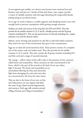As our appetite gets smaller, our choices may become more restricted (tea and biscuits, toast and jam *etc*.). Snacks of fruit and cheese, nuts, yogurt, provide a variety of valuable nutrients with less sugar disturbing the teaspoonful already pulsing along in our blood stream.

As we age we need to balance a smaller appetite and shrinking muscle tone with enough food to prevent constipation while getting enough nutrients.

Sardines are small, rich sources of the long fish oils EPA and DHA. They also provide the fat soluble vitamins A, D, E and K, valuable protein and the B group vitamins including B12. They are also good sources of minerals including zinc, copper, selenium, iron and the element iodine.

Salmon, trout, herrings and mackerel are oily fish as well with similar nutrients. May need to be sure of the environment they grew in for contaminants.

Eggs are an ideal all round nutritious food. Their protein consists of a complete mix of the amino acids our bodies need. They also provide the fat soluble vitamins A, D, E and K. They also contain the B group vitamins including B12 and folic acid and a range of essential minerals.

The orange – yellow colour of the yolk is due to the presence of two carotenes called lutein and zeaxanthine. These carotenes are also concentrated in the fovea, which is the part of the macula at the back of our eyes where light is focused. The lutein and zeaxanthine act as antioxidants filtering the blue and ultraviolet light from damaging the rods and cones that are concentrated in the fovea for clear vision.

They are also in the lenses of our eyes, so they may help protect our eyes against and delay the onset of age related macula degeneration and cataracts. Each egg yolk contains around 290μg of lutein and  $210\mu$ g of zeaxanthine.<sup>10</sup>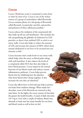#### **Cocoa**

Cocoa (*Theobroma cacao*) is consumed in some form or other by most of us. Cocoa is one of the richest sources of a group of antioxidants called flavonoids. Cocoa contains plenty of a sub-group of flavonoids called flavonols, in particular catechin, epicatechin and polymers of these called procyanidins.<sup>5</sup>

Cocoa reduces the oxidation of the unsaturated oils that make up all our cell membranes. This includes the oils encapsulating the globules of cholesterol in LDL particles, so there is less oxidized LDL to stick to our artery walls. Cocoa also helps to reduce the amount of LDL and increase the amount of HDL which clears unused cholesterol to our liver to be secreted into our intestine as bile.5

Cocoa increases nitric oxide levels in our artery walls which helps relax the artery as blood pulses along with each heartbeat. It also reduces the levels of a compound called ACE that then also helps to lower blood pressure. Cocoa improves the normal function of our blood vessels and reduces various inflammatory pathways. Cocoa helps prevent blood clots by inhibiting how the platelets (that form blood clots) clump together. It also increases the rate they are dissolved.<sup>5</sup>

Cocoa also affects how we feel and may help to protect our brain from oxidative damage. When made into chocolate, some of the flavonols are removed as they taste bitter. So the higher the cocoa content of chocolate the greater the health benefits. A snack of dark chocolate  $(10-15g \text{ or } \frac{1}{2}oz)$  with a couple of walnuts, Brazil nuts, almonds or hazel nuts has many benefits for our heart and blood vessels as well as how we feel.

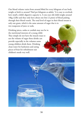Our blood volume varies from around 80ml for every kilogram of our body weight at birth to around 70ml per kilogram as adults.1 It is easy to overlook how small a child's digestive capacity is. A one year old child weighs around 10kg (22lb) and they only have about one litre (2 pints) of blood pulsing through their blood vessels. The total level of sugar in their blood stream is only one gram, which is the same amount of sugar that is in two teaspoons of juice or soda.

Drinking juices, sodas or cordials may not be in the nutritional interests of a young child. They simply do not have the muscle mass to use the volume of sugar these drinks can provide especially in the volumes some young children drink them. Drinking clean water for hydration and eating pieces of fruit for refreshment suit children's needs very well.

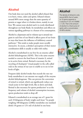#### **Alcohol**

Our body does not need the alcohol called ethanol that is in beers, wines, ciders and spirits. Ethanol releases around 80% more energy than the same quantity of protein or sugar when it is broken down, mainly in our liver. We cannot store alcohol and it is evenly distributed throughout our body fluids. Its metabolism and effects on various signalling pathways is a feature of its consumption.

Alcohol is a depressant and in volumes up to around one gram in each litre of our blood it affects parts of our brain in ways that lessen the influence of inhibitory control pathways.4 This tends to make people more socially interactive. In excess, a drinker's perception of their motor coordination skills is usually at odds with reality.

Alcohol is metabolised in our liver by an enzyme called alcohol dehydrogenase (ADH). This is the same enzyme needed to convert the food form of vitamin A, retinol to its active form retinal. Retinal is necessary for the recycling of rhodopsin<sup>3</sup> (visual purple) in the cells called rods in the retinas of our eyes to enable us to see in low levels of light.

Frequent daily alcohol intake that exceeds the rate our body metabolizes it can saturate our supply of the enzyme alcohol dehydrogenase. This can prevent the conversion of retinol to retinal, which can significantly reduce our visual acuity in low light levels, like at dawn and dusk. Retinal is also necessary for sperm production<sup>4</sup> so as the frequency and volume of alcohol consumption increases, sperm production tends to drop off.

Ethanol is metabolised at an average rate of 1 gram for each 10 kilograms of body weight each hour.<sup>4</sup> So people weighing 100 kilograms (220lbs) metabolize one standard drink (10 grams or 12½ ml) of alcohol in one hour.

#### **Alcohol**

The density of ethanol is only around 80% that of water, so 10 grams expands to a volume of 12½ ml (100/80  $= 1.25$ ). That is the amount of alcohol in a fluid ounce of spirits with a concentration of 40% alcohol.



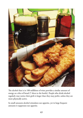

The alcohol that is in 100 millilitres of wine provides a similar amount of energy as a slice of bread (7 slices to the bottle). People who drink alcohol regularly may notice their girth is larger than they may prefer, unless they are more physically active.

In small amounts alcohol stimulates our appetite, yet in large frequent amounts it suppresses our appetite.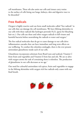cell membranes. These oils also assist our cells and tissues carry toxins to the surface of cells lining our lungs, kidneys, skin and digestive tract to be discarded.2

#### **Free Radicals**

Oxygen is highly reactive and can form small molecules called "free radicals" in our cells that can damage the cell membranes. We have lifelong skirmishes in our cells with these radicals like hydrogen peroxide  $\rm{H}_{2}\rm{O}_{2}$  (great for bleaching hair etc.). Our cells use these and other oxygen radicals to kill viruses and harmful bacteria before neutralising the radicals to water and oxygen.<sup>2</sup>

The free radical molecules that do get to cause damage to our cells drive inflammation cascades that can have immediate and long term effects on our wellbeing. To combat this relentless onslaught, there is the ever present antioxidant glutathione inside each of our cells.

Glutathione incorporates selenium from Brazil nuts and seafood, Vitamin C from fruits and vegetables and Vitamin E from fats and oils. We are so alive with oxygen atoms the task of containing them is relentless. The production of glutathione in our cells decreases as we age.7

Our need for colourful antioxidant rich spices, fruits and vegetables to engage in the lifelong skirmishes with oxygen rich free radicals only ceases with our final breath.

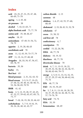#### **Index**

**acid** 23, 25, 27, 31, 35, 47, 48, 66–69, 71–78 **ageing** 1, 2, 45, 46 **air pressure** 38 **alcohol** 7, 43, 61–65, 71 **alpha linolenic acid** 75, 77, 78 **amino acid** 35, 48, 66, 67 **amylin** 18, 19 **antioxidants** 47–49, 51–54, 72, 78, 79 **appetite** 2, 19, 28, 48, 63 **arachidonic acid** 78 **atom** 11, 12, 45, 59, 73–77, 79 **ATP** 11, 13, 14, 37–40, 68 **Avogadro** 26, 33, 34, 47, 56, 67, 69, 78, 79 **bacteria** 35, 36 **barley** 13, **Beri beri** 65 **blood pressure** 2, 31, 32, 43, 52 **blood stream** 2–5, 9–17, 19–25, 27–30, 32, 39, 40, 43, 46–48, 51, 53, 56–58, 69, 70 78 **BMR** 41, 42 **brain** 2, 5, 13, 19, 28, 37, 43, 45, 47, 52, 57, 59–62, 65, 67, 69, 73, 75, 77 **bread** 7–10, 18, 19, 28, 33, 46, 63 **carbohydrate** 5, 7–9, 14-16, 19, 20, 24, 26, 40, 42, 43, 57

**carbon dioxide** 2, 13 **carotene** 48 **children** 1, 6, 27, 42, 55, 57–60, 68, 69 **cholesterol** 2, 19, 28, 45, 51, 52, 78 **cobalamin** 47 **cocoa** 31, 50, 52 **cod liver oil** 78 **confectionery** 6, 7 **constipation** 70 **cordial** 15, 22, 26, 58, **DHA** 48, 77, 78 **diabetes** 18, 19, 32 **diarrhoea** 48, 77, 78 **diverticular disease** 70 **drink** 6, 7, 11, 13-15, 18, 22, 26–29, 32, 34, 40, 42, 44, 46, 57, 58, 60, 62–64, 70–72 **energy** 2, 5, 8–11, 13, 14, 16, 19, 25, 27, 29, 37–44, 56, 60–62, 64, 75, 76 **EPA** 48, 77, 78 **FAO** 35, 55, 59, 69 **fat** 5, 7, 8, 11, 13–16, 18, 28, 29, 32, 37, 39, 40, 42, 46, 48, 51, 56, 57, 73–76, 78 **fatty acid** 73, 74 **FDA** 35, 59 **fermentation** 68, 69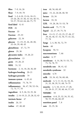**fibre** 7–9, 16, 26 **flour** 7–9, 49, 70 **food** 1–3, 6-10, 13-16, 18–21, 23–26, 28, 31–36, 41–44, 46–51, 53–57, 59–62, 64, 66–75, 79 **food label** 8, 41 **FOS** 26 **fructan** 33 **fructose** 25–33 **galactose** 22, 34 **glucose** 11–19, 25, 26, 28–30, 32–34, 39, 40, 43 **glutathione** 47, 72, 79 **gluten** 35, 36 **glycaemic index** 19, 20, 23 **glycosylation** 13 **grain** 19, 20, 23 **HDL** 51, 52 **hormone** 2, 14, 18, 28, 36, 60 **hydrogen bonding** 20–21 **hydrogen peroxide** 79 **immune system** 4, 45, 61 **inflammation** 75, 78, 79 **inflammatory** 36, 47, 50, 52–54, 72, 73, 77, 78 **ingredient** 8, 9, 26, 33, 35, 36 **insulin** 2, 14–19, 21, 25, 28, 32, 43 **intrinsic factor** 47 **inulin** 26, 33 **iodine** 47, 48, 60

**iron** 48, 56, 68, 69 **juice** 15, 22, 26-28, 40, 58 **lactase** 33, 34 **lactose** 33, 34 **LDL** 19, 28, 30, 51–53, 78 **linoleic acid** 75, 77, 78 **liquid** 22, 27, 39, 75, 76 **liver** 13–15, 17–19, 25, 27–30, 37 39, 44, 46, 47, 52, 56, 57, 61, 62, 77, 78 **lungs** 2, 4, 38, 56, 72, 79 **lutein** 48 **lycopene** 50, 51 **macronutrients** 7, 66 **market** 6, 57 **membrane** 4, 14, 38, 51–53, 73, 75, 76, 78, 79 **metabolic rate** 38, 41, 42 **metabolic syndrome** 32 **microbe** 4,78 **milk** 33, 34, 42, 56, 60, 68, **molecule** 4, 5, 11–14, 16, 18, 26, 31, 33, 38, 39, 51, 68, 74–79 **muscles** 2, 5, 10, 13-15, 17–20, 24, 28–31, 37, 39, 40, 44, 57, 65 **NHMRC** 59 **nutrition** 6–8, 25, 32, 34, 35, 42, 50, 55–59, 66, 68, 69 **nutrition panel** 7, 8 **oats** 33, 35, 36